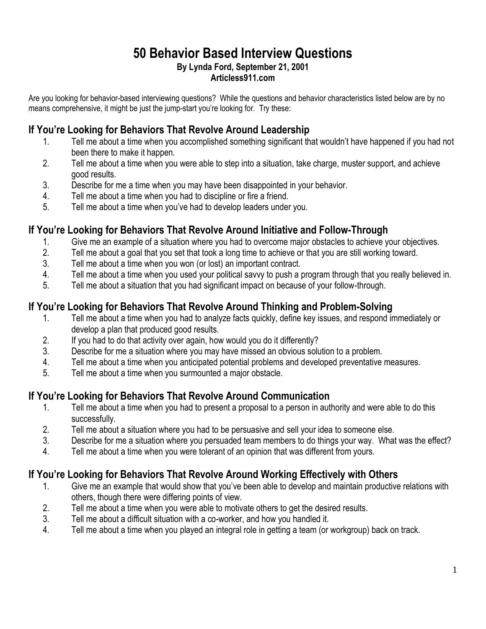## **50 Behavior Based Interview Questions By Lynda Ford, September 21, 2001 Articless911.com**

Are you looking for behavior-based interviewing questions? While the questions and behavior characteristics listed below are by no means comprehensive, it might be just the jump-start you're looking for. Try these:

## **If You're Looking for Behaviors That Revolve Around Leadership**

- 1. Tell me about a time when you accomplished something significant that wouldn't have happened if you had not been there to make it happen.
- 2. Tell me about a time when you were able to step into a situation, take charge, muster support, and achieve good results.
- 3. Describe for me a time when you may have been disappointed in your behavior.
- 4. Tell me about a time when you had to discipline or fire a friend.
- 5. Tell me about a time when you've had to develop leaders under you.

#### **If You're Looking for Behaviors That Revolve Around Initiative and Follow-Through**

- 1. Give me an example of a situation where you had to overcome major obstacles to achieve your objectives.
- 2. Tell me about a goal that you set that took a long time to achieve or that you are still working toward.
- 3. Tell me about a time when you won (or lost) an important contract.
- 4. Tell me about a time when you used your political savvy to push a program through that you really believed in.
- 5. Tell me about a situation that you had significant impact on because of your follow-through.

## **If You're Looking for Behaviors That Revolve Around Thinking and Problem-Solving**

- 1. Tell me about a time when you had to analyze facts quickly, define key issues, and respond immediately or develop a plan that produced good results.
- 2. If you had to do that activity over again, how would you do it differently?
- 3. Describe for me a situation where you may have missed an obvious solution to a problem.
- 4. Tell me about a time when you anticipated potential problems and developed preventative measures.
- 5. Tell me about a time when you surmounted a major obstacle.

## **If You're Looking for Behaviors That Revolve Around Communication**

- 1. Tell me about a time when you had to present a proposal to a person in authority and were able to do this successfully.
- 2. Tell me about a situation where you had to be persuasive and sell your idea to someone else.
- 3. Describe for me a situation where you persuaded team members to do things your way. What was the effect?
- 4. Tell me about a time when you were tolerant of an opinion that was different from yours.

## **If You're Looking for Behaviors That Revolve Around Working Effectively with Others**

- 1. Give me an example that would show that you've been able to develop and maintain productive relations with others, though there were differing points of view.
- 2. Tell me about a time when you were able to motivate others to get the desired results.
- 3. Tell me about a difficult situation with a co-worker, and how you handled it.
- 4. Tell me about a time when you played an integral role in getting a team (or workgroup) back on track.